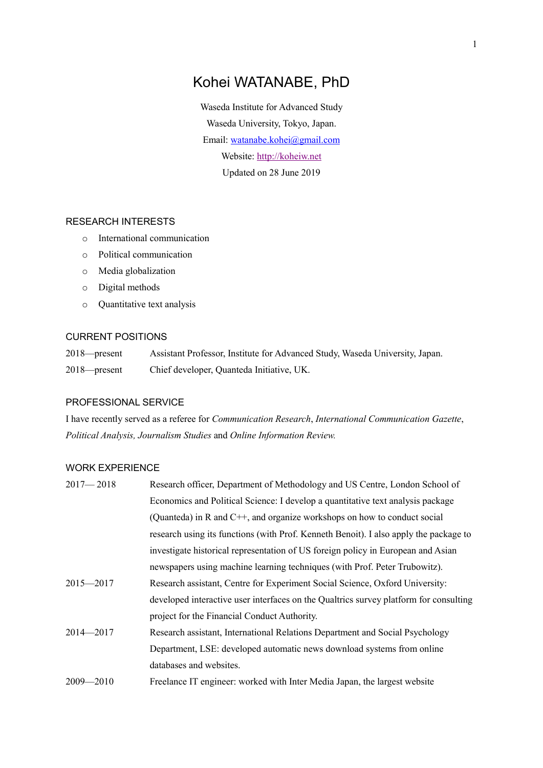# Kohei WATANABE, PhD

Waseda Institute for Advanced Study Waseda University, Tokyo, Japan. Email: [watanabe.kohei@gmail.com](https://d.docs.live.net/f37570b6e6212471/LSE/Career/watanabe.kohei@gmail.com) Website: [http://koheiw.net](http://koheiw.net/) Updated on 28 June 2019

### RESEARCH INTERESTS

- o International communication
- o Political communication
- o Media globalization
- o Digital methods
- o Quantitative text analysis

## CURRENT POSITIONS

2018—present Assistant Professor, Institute for Advanced Study, Waseda University, Japan. 2018—present Chief developer, Quanteda Initiative, UK.

#### PROFESSIONAL SERVICE

I have recently served as a referee for *Communication Research*, *International Communication Gazette*, *Political Analysis, Journalism Studies* and *Online Information Review.*

## WORK EXPERIENCE

| $2017 - 2018$ | Research officer, Department of Methodology and US Centre, London School of           |
|---------------|---------------------------------------------------------------------------------------|
|               | Economics and Political Science: I develop a quantitative text analysis package       |
|               | (Quanteda) in R and $C++$ , and organize workshops on how to conduct social           |
|               | research using its functions (with Prof. Kenneth Benoit). I also apply the package to |
|               | investigate historical representation of US foreign policy in European and Asian      |
|               | newspapers using machine learning techniques (with Prof. Peter Trubowitz).            |
| $2015 - 2017$ | Research assistant, Centre for Experiment Social Science, Oxford University:          |
|               | developed interactive user interfaces on the Qualtrics survey platform for consulting |
|               | project for the Financial Conduct Authority.                                          |
| 2014-2017     | Research assistant, International Relations Department and Social Psychology          |
|               | Department, LSE: developed automatic news download systems from online                |
|               | databases and websites.                                                               |
| $2009 - 2010$ | Freelance IT engineer: worked with Inter Media Japan, the largest website             |
|               |                                                                                       |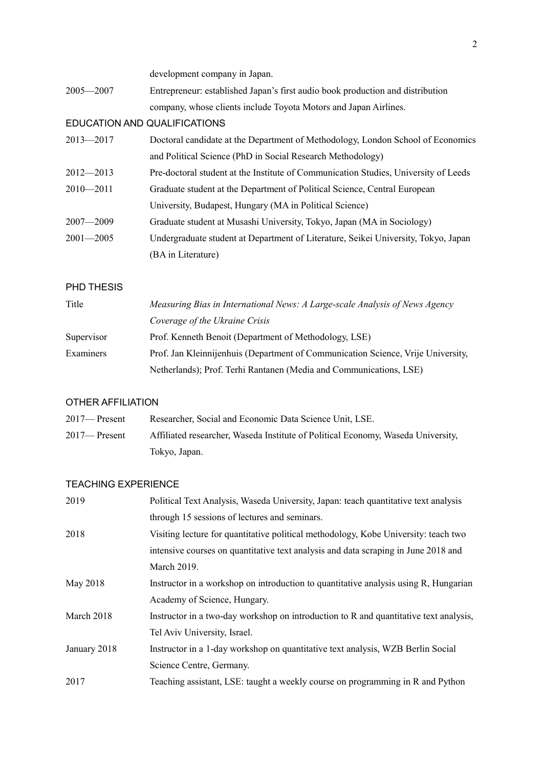|                              | development company in Japan.                                                       |  |
|------------------------------|-------------------------------------------------------------------------------------|--|
| $2005 - 2007$                | Entrepreneur: established Japan's first audio book production and distribution      |  |
|                              | company, whose clients include Toyota Motors and Japan Airlines.                    |  |
| EDUCATION AND QUALIFICATIONS |                                                                                     |  |
| $2013 - 2017$                | Doctoral candidate at the Department of Methodology, London School of Economics     |  |
|                              | and Political Science (PhD in Social Research Methodology)                          |  |
| $2012 - 2013$                | Pre-doctoral student at the Institute of Communication Studies, University of Leeds |  |
| $2010 - 2011$                | Graduate student at the Department of Political Science, Central European           |  |
|                              | University, Budapest, Hungary (MA in Political Science)                             |  |
| $2007 - 2009$                | Graduate student at Musashi University, Tokyo, Japan (MA in Sociology)              |  |
| $2001 - 2005$                | Undergraduate student at Department of Literature, Seikei University, Tokyo, Japan  |  |
|                              | (BA in Literature)                                                                  |  |
|                              |                                                                                     |  |

## PHD THESIS

| Title      | Measuring Bias in International News: A Large-scale Analysis of News Agency      |  |
|------------|----------------------------------------------------------------------------------|--|
|            | Coverage of the Ukraine Crisis                                                   |  |
| Supervisor | Prof. Kenneth Benoit (Department of Methodology, LSE)                            |  |
| Examiners  | Prof. Jan Kleinnijenhuis (Department of Communication Science, Vrije University, |  |
|            | Netherlands); Prof. Terhi Rantanen (Media and Communications, LSE)               |  |

## OTHER AFFILIATION

| $2017$ — Present | Researcher, Social and Economic Data Science Unit, LSE.                          |
|------------------|----------------------------------------------------------------------------------|
| $2017$ — Present | Affiliated researcher, Waseda Institute of Political Economy, Waseda University, |
|                  | Tokyo, Japan.                                                                    |

## TEACHING EXPERIENCE

| 2019         | Political Text Analysis, Waseda University, Japan: teach quantitative text analysis   |
|--------------|---------------------------------------------------------------------------------------|
|              | through 15 sessions of lectures and seminars.                                         |
| 2018         | Visiting lecture for quantitative political methodology, Kobe University: teach two   |
|              | intensive courses on quantitative text analysis and data scraping in June 2018 and    |
|              | March 2019.                                                                           |
| May 2018     | Instructor in a workshop on introduction to quantitative analysis using R, Hungarian  |
|              | Academy of Science, Hungary.                                                          |
| March 2018   | Instructor in a two-day workshop on introduction to R and quantitative text analysis, |
|              | Tel Aviv University, Israel.                                                          |
| January 2018 | Instructor in a 1-day workshop on quantitative text analysis, WZB Berlin Social       |
|              | Science Centre, Germany.                                                              |
| 2017         | Teaching assistant, LSE: taught a weekly course on programming in R and Python        |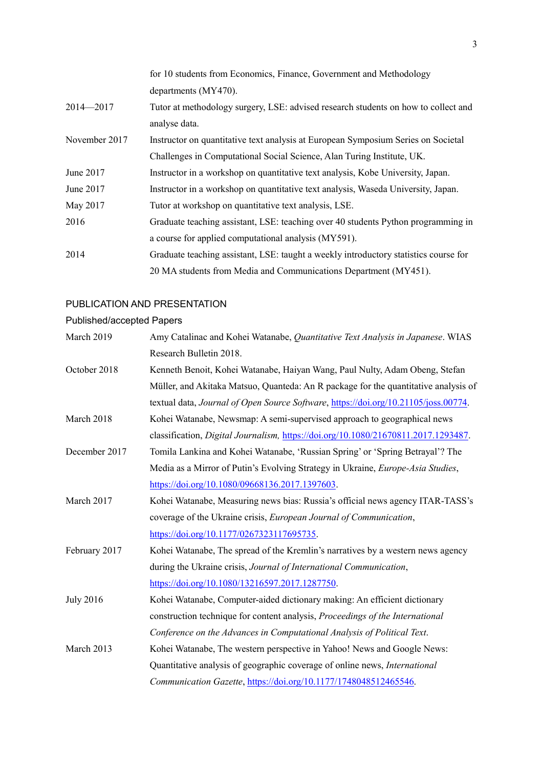|               | for 10 students from Economics, Finance, Government and Methodology                  |
|---------------|--------------------------------------------------------------------------------------|
|               | departments (MY470).                                                                 |
| $2014 - 2017$ | Tutor at methodology surgery, LSE: advised research students on how to collect and   |
|               | analyse data.                                                                        |
| November 2017 | Instructor on quantitative text analysis at European Symposium Series on Societal    |
|               | Challenges in Computational Social Science, Alan Turing Institute, UK.               |
| June 2017     | Instructor in a workshop on quantitative text analysis, Kobe University, Japan.      |
| June 2017     | Instructor in a workshop on quantitative text analysis, Waseda University, Japan.    |
| May 2017      | Tutor at workshop on quantitative text analysis, LSE.                                |
| 2016          | Graduate teaching assistant, LSE: teaching over 40 students Python programming in    |
|               | a course for applied computational analysis (MY591).                                 |
| 2014          | Graduate teaching assistant, LSE: taught a weekly introductory statistics course for |
|               | 20 MA students from Media and Communications Department (MY451).                     |

#### PUBLICATION AND PRESENTATION

#### Published/accepted Papers

| March 2019   | Amy Catalinac and Kohei Watanabe, Quantitative Text Analysis in Japanese. WIAS             |
|--------------|--------------------------------------------------------------------------------------------|
|              | Research Bulletin 2018.                                                                    |
| October 2018 | Kenneth Benoit, Kohei Watanabe, Haiyan Wang, Paul Nulty, Adam Obeng, Stefan                |
|              | Müller, and Akitaka Matsuo, Quanteda: An R package for the quantitative analysis of        |
|              | textual data, Journal of Open Source Software, https://doi.org/10.21105/joss.00774.        |
| March 2018   | Kohei Watanabe, Newsmap: A semi-supervised approach to geographical news                   |
|              | classification, <i>Digital Journalism</i> , https://doi.org/10.1080/21670811.2017.1293487. |

- December 2017 Tomila Lankina and Kohei Watanabe, 'Russian Spring' or 'Spring Betrayal'? The Media as a Mirror of Putin's Evolving Strategy in Ukraine, *Europe-Asia Studies*, [https://doi.org/10.1080/09668136.2017.1397603.](https://doi.org/10.1080/09668136.2017.1397603)
- March 2017 Kohei Watanabe, Measuring news bias: Russia's official news agency ITAR-TASS's coverage of the Ukraine crisis, *European Journal of Communication*, [https://doi.org/10.1177/0267323117695735.](https://doi.org/10.1177%2F0267323117695735)
- February 2017 Kohei Watanabe, The spread of the Kremlin's narratives by a western news agency during the Ukraine crisis, *Journal of International Communication*, [https://doi.org/10.1080/13216597.2017.1287750.](https://doi.org/10.1080/13216597.2017.1287750)
- July 2016 Kohei Watanabe, Computer-aided dictionary making: An efficient dictionary construction technique for content analysis, *Proceedings of the International Conference on the Advances in Computational Analysis of Political Text*.
- March 2013 Kohei Watanabe, The western perspective in Yahoo! News and Google News: Quantitative analysis of geographic coverage of online news, *International Communication Gazette*, [https://doi.org/10.1177/1748048512465546.](https://doi.org/10.1177%2F1748048512465546)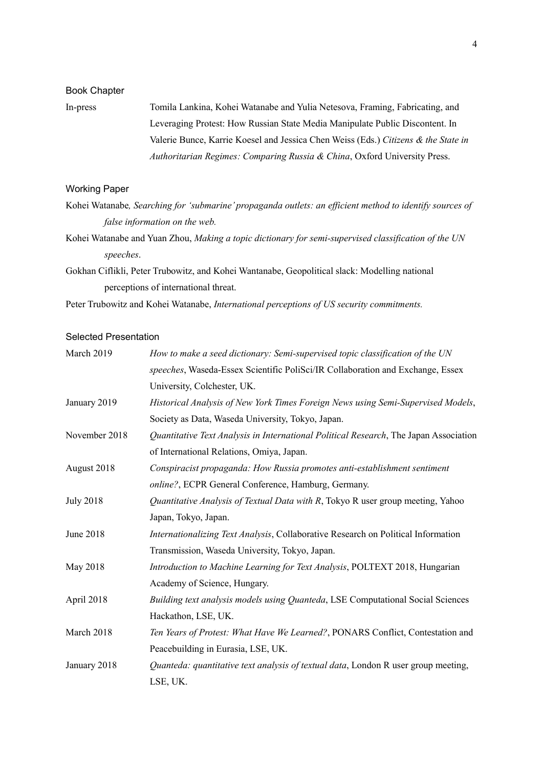#### Book Chapter

In-press Tomila Lankina, Kohei Watanabe and Yulia Netesova, Framing, Fabricating, and Leveraging Protest: How Russian State Media Manipulate Public Discontent. In Valerie Bunce, Karrie Koesel and Jessica Chen Weiss (Eds.) *Citizens & the State in Authoritarian Regimes: Comparing Russia & China*, Oxford University Press.

### Working Paper

- Kohei Watanabe*, Searching for 'submarine' propaganda outlets: an efficient method to identify sources of false information on the web.*
- Kohei Watanabe and Yuan Zhou, *Making a topic dictionary for semi-supervised classification of the UN speeches*.
- Gokhan Ciflikli, Peter Trubowitz, and Kohei Wantanabe, Geopolitical slack: Modelling national perceptions of international threat.

Peter Trubowitz and Kohei Watanabe, *International perceptions of US security commitments.*

## Selected Presentation

| March 2019       | How to make a seed dictionary: Semi-supervised topic classification of the UN         |
|------------------|---------------------------------------------------------------------------------------|
|                  | speeches, Waseda-Essex Scientific PoliSci/IR Collaboration and Exchange, Essex        |
|                  | University, Colchester, UK.                                                           |
| January 2019     | Historical Analysis of New York Times Foreign News using Semi-Supervised Models,      |
|                  | Society as Data, Waseda University, Tokyo, Japan.                                     |
| November 2018    | Quantitative Text Analysis in International Political Research, The Japan Association |
|                  | of International Relations, Omiya, Japan.                                             |
| August 2018      | Conspiracist propaganda: How Russia promotes anti-establishment sentiment             |
|                  | online?, ECPR General Conference, Hamburg, Germany.                                   |
| <b>July 2018</b> | Quantitative Analysis of Textual Data with R, Tokyo R user group meeting, Yahoo       |
|                  | Japan, Tokyo, Japan.                                                                  |
| June 2018        | Internationalizing Text Analysis, Collaborative Research on Political Information     |
|                  | Transmission, Waseda University, Tokyo, Japan.                                        |
| May 2018         | Introduction to Machine Learning for Text Analysis, POLTEXT 2018, Hungarian           |
|                  | Academy of Science, Hungary.                                                          |
| April 2018       | Building text analysis models using Quanteda, LSE Computational Social Sciences       |
|                  | Hackathon, LSE, UK.                                                                   |
| March 2018       | Ten Years of Protest: What Have We Learned?, PONARS Conflict, Contestation and        |
|                  | Peacebuilding in Eurasia, LSE, UK.                                                    |
| January 2018     | Quanteda: quantitative text analysis of textual data, London R user group meeting,    |
|                  | LSE, UK.                                                                              |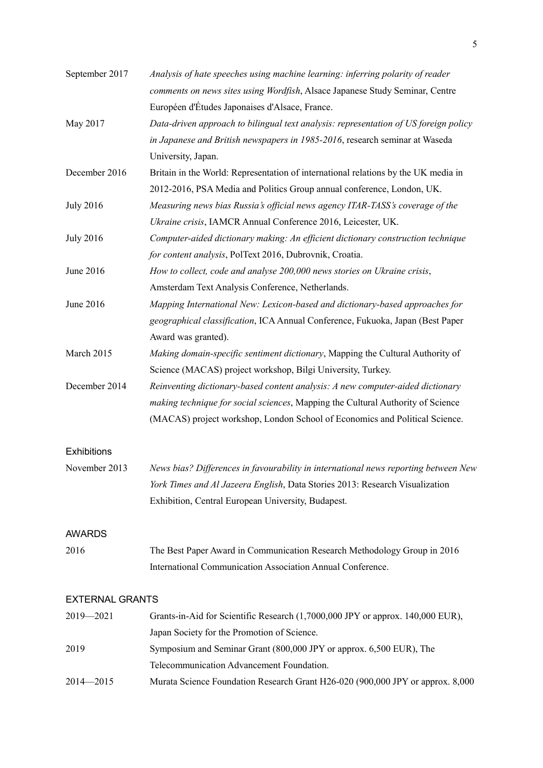| September 2017         | Analysis of hate speeches using machine learning: inferring polarity of reader       |
|------------------------|--------------------------------------------------------------------------------------|
|                        | comments on news sites using Wordfish, Alsace Japanese Study Seminar, Centre         |
|                        | Européen d'Études Japonaises d'Alsace, France.                                       |
| May 2017               | Data-driven approach to bilingual text analysis: representation of US foreign policy |
|                        | in Japanese and British newspapers in 1985-2016, research seminar at Waseda          |
|                        | University, Japan.                                                                   |
| December 2016          | Britain in the World: Representation of international relations by the UK media in   |
|                        | 2012-2016, PSA Media and Politics Group annual conference, London, UK.               |
| <b>July 2016</b>       | Measuring news bias Russia's official news agency ITAR-TASS's coverage of the        |
|                        | Ukraine crisis, IAMCR Annual Conference 2016, Leicester, UK.                         |
| <b>July 2016</b>       | Computer-aided dictionary making: An efficient dictionary construction technique     |
|                        | for content analysis, PolText 2016, Dubrovnik, Croatia.                              |
| June 2016              | How to collect, code and analyse 200,000 news stories on Ukraine crisis,             |
|                        | Amsterdam Text Analysis Conference, Netherlands.                                     |
| June 2016              | Mapping International New: Lexicon-based and dictionary-based approaches for         |
|                        | geographical classification, ICA Annual Conference, Fukuoka, Japan (Best Paper       |
|                        | Award was granted).                                                                  |
| March 2015             | Making domain-specific sentiment dictionary, Mapping the Cultural Authority of       |
|                        | Science (MACAS) project workshop, Bilgi University, Turkey.                          |
| December 2014          | Reinventing dictionary-based content analysis: A new computer-aided dictionary       |
|                        | making technique for social sciences, Mapping the Cultural Authority of Science      |
|                        | (MACAS) project workshop, London School of Economics and Political Science.          |
| <b>Exhibitions</b>     |                                                                                      |
| November 2013          | News bias? Differences in favourability in international news reporting between New  |
|                        | York Times and Al Jazeera English, Data Stories 2013: Research Visualization         |
|                        | Exhibition, Central European University, Budapest.                                   |
| <b>AWARDS</b>          |                                                                                      |
| 2016                   | The Best Paper Award in Communication Research Methodology Group in 2016             |
|                        | International Communication Association Annual Conference.                           |
| <b>EXTERNAL GRANTS</b> |                                                                                      |
| 2019-2021              | Grants-in-Aid for Scientific Research (1,7000,000 JPY or approx. 140,000 EUR),       |
|                        | Japan Society for the Promotion of Science.                                          |
| 2019                   | Symposium and Seminar Grant (800,000 JPY or approx. 6,500 EUR), The                  |
|                        | Telecommunication Advancement Foundation.                                            |
| $2014 - 2015$          | Murata Science Foundation Research Grant H26-020 (900,000 JPY or approx. 8,000       |
|                        |                                                                                      |